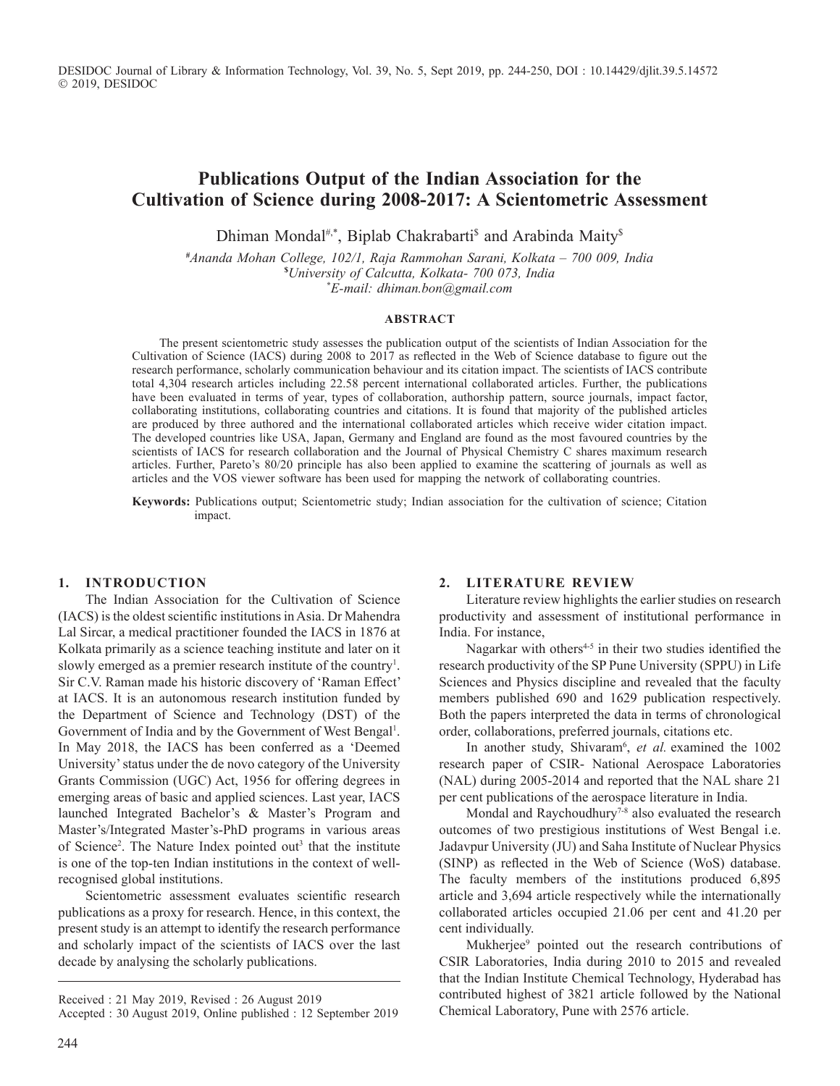DESIDOC Journal of Library & Information Technology, Vol. 39, No. 5, Sept 2019, pp. 244-250, DOI : 10.14429/djlit.39.5.14572 2019, DESIDOC

# **Publications Output of the Indian Association for the Cultivation of Science during 2008-2017: A Scientometric Assessment**

Dhiman Mondal<sup>#,\*</sup>, Biplab Chakrabarti<sup>s</sup> and Arabinda Maity<sup>s</sup>

**#***Ananda Mohan College, 102/1, Raja Rammohan Sarani, Kolkata – 700 009, India*  **\$***University of Calcutta, Kolkata- 700 073, India*  **\****E-mail: dhiman.bon@gmail.com*

#### **AbStrACt**

The present scientometric study assesses the publication output of the scientists of Indian Association for the Cultivation of Science (IACS) during 2008 to 2017 as reflected in the Web of Science database to figure out the research performance, scholarly communication behaviour and its citation impact. The scientists of IACS contribute total 4,304 research articles including 22.58 percent international collaborated articles. Further, the publications have been evaluated in terms of year, types of collaboration, authorship pattern, source journals, impact factor, collaborating institutions, collaborating countries and citations. It is found that majority of the published articles are produced by three authored and the international collaborated articles which receive wider citation impact. The developed countries like USA, Japan, Germany and England are found as the most favoured countries by the scientists of IACS for research collaboration and the Journal of Physical Chemistry C shares maximum research articles. Further, Pareto's 80/20 principle has also been applied to examine the scattering of journals as well as articles and the VOS viewer software has been used for mapping the network of collaborating countries.

**Keywords:** Publications output; Scientometric study; Indian association for the cultivation of science; Citation impact.

#### **1. IntrOduCtIOn**

The Indian Association for the Cultivation of Science (IACS) is the oldest scientific institutions in Asia. Dr Mahendra Lal Sircar, a medical practitioner founded the IACS in 1876 at Kolkata primarily as a science teaching institute and later on it slowly emerged as a premier research institute of the country<sup>1</sup>. Sir C.V. Raman made his historic discovery of 'Raman Effect' at IACS. It is an autonomous research institution funded by the Department of Science and Technology (DST) of the Government of India and by the Government of West Bengal<sup>1</sup>. In May 2018, the IACS has been conferred as a 'Deemed University' status under the de novo category of the University Grants Commission (UGC) Act, 1956 for offering degrees in emerging areas of basic and applied sciences. Last year, IACS launched Integrated Bachelor's & Master's Program and Master's/Integrated Master's-PhD programs in various areas of Science<sup>2</sup>. The Nature Index pointed out<sup>3</sup> that the institute is one of the top-ten Indian institutions in the context of wellrecognised global institutions.

Scientometric assessment evaluates scientific research publications as a proxy for research. Hence, in this context, the present study is an attempt to identify the research performance and scholarly impact of the scientists of IACS over the last decade by analysing the scholarly publications.

#### **2. LIterAture revIew**

Literature review highlights the earlier studies on research productivity and assessment of institutional performance in India. For instance,

Nagarkar with others $4-5$  in their two studies identified the research productivity of the SP Pune University (SPPU) in Life Sciences and Physics discipline and revealed that the faculty members published 690 and 1629 publication respectively. Both the papers interpreted the data in terms of chronological order, collaborations, preferred journals, citations etc.

In another study, Shivaram<sup>6</sup>, et al. examined the 1002 research paper of CSIR- National Aerospace Laboratories (NAL) during 2005-2014 and reported that the NAL share 21 per cent publications of the aerospace literature in India.

Mondal and Raychoudhury<sup>7-8</sup> also evaluated the research outcomes of two prestigious institutions of West Bengal i.e. Jadavpur University (JU) and Saha Institute of Nuclear Physics (SINP) as reflected in the Web of Science (WoS) database. The faculty members of the institutions produced 6,895 article and 3,694 article respectively while the internationally collaborated articles occupied 21.06 per cent and 41.20 per cent individually.

Mukherjee<sup>9</sup> pointed out the research contributions of CSIR Laboratories, India during 2010 to 2015 and revealed that the Indian Institute Chemical Technology, Hyderabad has contributed highest of 3821 article followed by the National Chemical Laboratory, Pune with 2576 article.

Received : 21 May 2019, Revised : 26 August 2019

Accepted : 30 August 2019, Online published : 12 September 2019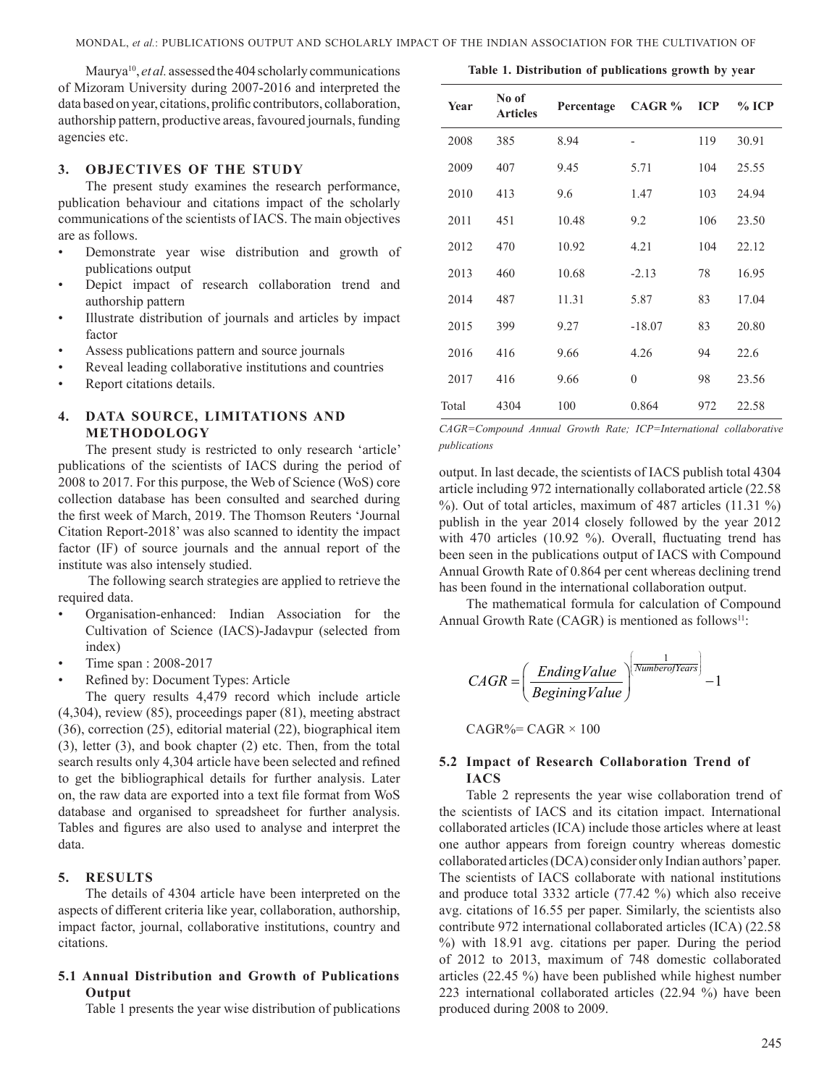Maurya<sup>10</sup>, *et al.* assessed the 404 scholarly communications of Mizoram University during 2007-2016 and interpreted the data based on year, citations, prolific contributors, collaboration, authorship pattern, productive areas, favoured journals, funding agencies etc.

#### **3. ObjeCtIveS Of the Study**

The present study examines the research performance, publication behaviour and citations impact of the scholarly communications of the scientists of IACS. The main objectives are as follows.

- Demonstrate year wise distribution and growth of publications output
- Depict impact of research collaboration trend and authorship pattern
- Illustrate distribution of journals and articles by impact factor
- Assess publications pattern and source journals
- Reveal leading collaborative institutions and countries
- Report citations details.

### **4. dAtA SOurCe, LImItAtIOnS And methOdOLOgy**

The present study is restricted to only research 'article' publications of the scientists of IACS during the period of 2008 to 2017. For this purpose, the Web of Science (WoS) core collection database has been consulted and searched during the first week of March, 2019. The Thomson Reuters 'Journal Citation Report-2018' was also scanned to identity the impact factor (IF) of source journals and the annual report of the institute was also intensely studied.

 The following search strategies are applied to retrieve the required data.

- Organisation-enhanced: Indian Association for the Cultivation of Science (IACS)-Jadavpur (selected from index)
- Time span : 2008-2017
- Refined by: Document Types: Article

The query results 4,479 record which include article (4,304), review (85), proceedings paper (81), meeting abstract (36), correction (25), editorial material (22), biographical item (3), letter (3), and book chapter (2) etc. Then, from the total search results only 4,304 article have been selected and refined to get the bibliographical details for further analysis. Later on, the raw data are exported into a text file format from WoS database and organised to spreadsheet for further analysis. Tables and figures are also used to analyse and interpret the data.

## **5. reSuLtS**

The details of 4304 article have been interpreted on the aspects of different criteria like year, collaboration, authorship, impact factor, journal, collaborative institutions, country and citations.

#### **5.1 Annual Distribution and Growth of Publications Output**

Table 1 presents the year wise distribution of publications

| <b>Year</b> | No of<br><b>Articles</b> | Percentage | CAGR %           | <b>ICP</b> | $%$ ICP |
|-------------|--------------------------|------------|------------------|------------|---------|
| 2008        | 385                      | 8.94       |                  | 119        | 30.91   |
| 2009        | 407                      | 9.45       | 5.71             | 104        | 25.55   |
| 2010        | 413                      | 9.6        | 1.47             | 103        | 24.94   |
| 2011        | 451                      | 10.48      | 9.2              | 106        | 23.50   |
| 2012        | 470                      | 10.92      | 4.21             | 104        | 22.12   |
| 2013        | 460                      | 10.68      | $-2.13$          | 78         | 16.95   |
| 2014        | 487                      | 11.31      | 5.87             | 83         | 17.04   |
| 2015        | 399                      | 9.27       | $-18.07$         | 83         | 20.80   |
| 2016        | 416                      | 9.66       | 4.26             | 94         | 22.6    |
| 2017        | 416                      | 9.66       | $\boldsymbol{0}$ | 98         | 23.56   |
| Total       | 4304                     | 100        | 0.864            | 972        | 22.58   |

Table 1. Distribution of publications growth by year

*CAGR=Compound Annual Growth Rate; ICP=International collaborative publications*

output. In last decade, the scientists of IACS publish total 4304 article including 972 internationally collaborated article (22.58 %). Out of total articles, maximum of 487 articles (11.31 %) publish in the year 2014 closely followed by the year 2012 with 470 articles (10.92 %). Overall, fluctuating trend has been seen in the publications output of IACS with Compound Annual Growth Rate of 0.864 per cent whereas declining trend has been found in the international collaboration output.

The mathematical formula for calculation of Compound Annual Growth Rate (CAGR) is mentioned as follows<sup>11</sup>:

$$
CAGR = \left(\frac{EndingValue}{BeginingValue}\right)^{\left[\frac{1}{Number of Years}\right]} - 1
$$

 $CAGR\% = CAGR \times 100$ 

### **5.2 Impact of Research Collaboration Trend of IACS**

Table 2 represents the year wise collaboration trend of the scientists of IACS and its citation impact. International collaborated articles (ICA) include those articles where at least one author appears from foreign country whereas domestic collaborated articles (DCA) consider only Indian authors' paper. The scientists of IACS collaborate with national institutions and produce total 3332 article (77.42 %) which also receive avg. citations of 16.55 per paper. Similarly, the scientists also contribute 972 international collaborated articles (ICA) (22.58 %) with 18.91 avg. citations per paper. During the period of 2012 to 2013, maximum of 748 domestic collaborated articles (22.45 %) have been published while highest number 223 international collaborated articles (22.94 %) have been produced during 2008 to 2009.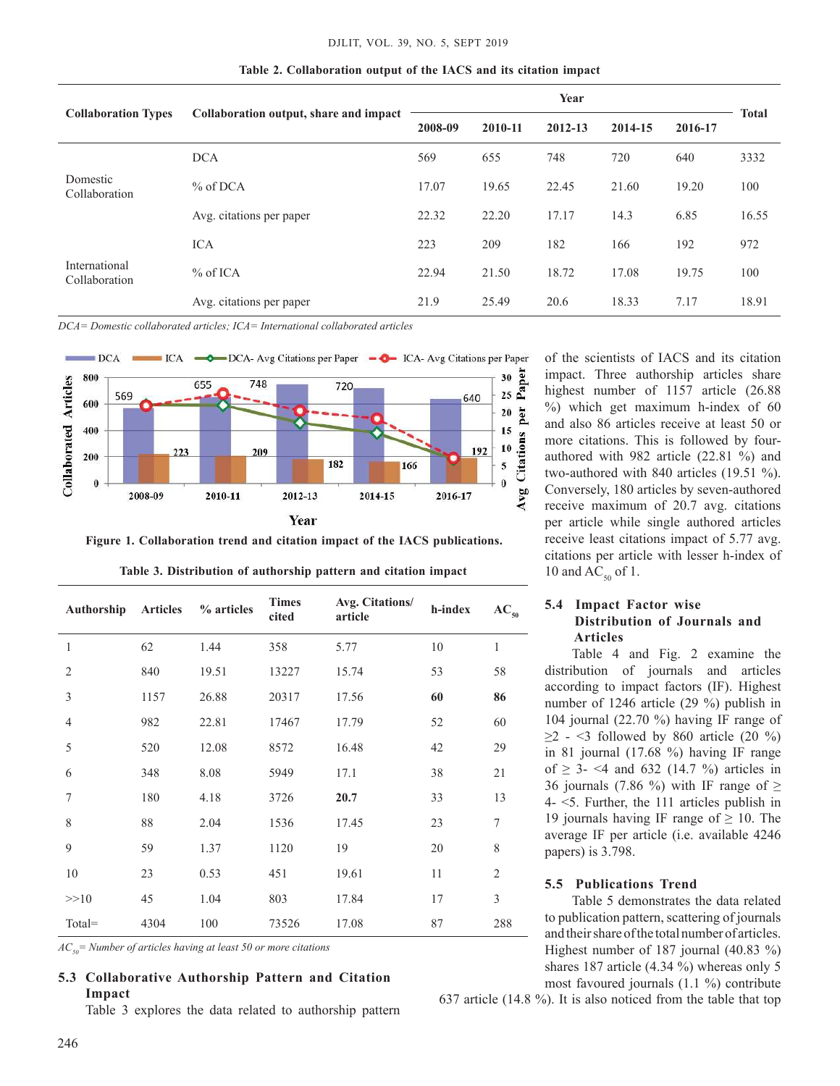|                                |                                        | Year    |         |         |         |         | <b>Total</b> |
|--------------------------------|----------------------------------------|---------|---------|---------|---------|---------|--------------|
| <b>Collaboration Types</b>     | Collaboration output, share and impact | 2008-09 | 2010-11 | 2012-13 | 2014-15 | 2016-17 |              |
|                                | <b>DCA</b>                             | 569     | 655     | 748     | 720     | 640     | 3332         |
| Domestic<br>Collaboration      | % of DCA                               | 17.07   | 19.65   | 22.45   | 21.60   | 19.20   | 100          |
|                                | Avg. citations per paper               | 22.32   | 22.20   | 17.17   | 14.3    | 6.85    | 16.55        |
|                                | <b>ICA</b>                             | 223     | 209     | 182     | 166     | 192     | 972          |
| International<br>Collaboration | $%$ of ICA                             | 22.94   | 21.50   | 18.72   | 17.08   | 19.75   | 100          |
|                                | Avg. citations per paper               | 21.9    | 25.49   | 20.6    | 18.33   | 7.17    | 18.91        |

**table 2. Collaboration output of the IACS and its citation impact** 

*DCA= Domestic collaborated articles; ICA= International collaborated articles*



**figure 1. Collaboration trend and citation impact of the IACS publications.**

| Authorship     | <b>Articles</b> | % articles | <b>Times</b><br>cited | Avg. Citations/<br>article | h-index | $AC_{50}$        |
|----------------|-----------------|------------|-----------------------|----------------------------|---------|------------------|
| 1              | 62              | 1.44       | 358                   | 5.77                       | 10      | $\mathbf{1}$     |
| $\mathfrak{2}$ | 840             | 19.51      | 13227                 | 15.74                      | 53      | 58               |
| 3              | 1157            | 26.88      | 20317                 | 17.56                      | 60      | 86               |
| $\overline{4}$ | 982             | 22.81      | 17467                 | 17.79                      | 52      | 60               |
| 5              | 520             | 12.08      | 8572                  | 16.48                      | 42      | 29               |
| 6              | 348             | 8.08       | 5949                  | 17.1                       | 38      | 21               |
| 7              | 180             | 4.18       | 3726                  | 20.7                       | 33      | 13               |
| 8              | 88              | 2.04       | 1536                  | 17.45                      | 23      | $\boldsymbol{7}$ |
| 9              | 59              | 1.37       | 1120                  | 19                         | 20      | $\,$ 8 $\,$      |
| 10             | 23              | 0.53       | 451                   | 19.61                      | 11      | $\mathfrak{2}$   |
| >>10           | 45              | 1.04       | 803                   | 17.84                      | 17      | $\mathfrak{Z}$   |
| Total=         | 4304            | 100        | 73526                 | 17.08                      | 87      | 288              |

Table 3. Distribution of authorship pattern and citation impact

*AC50= Number of articles having at least 50 or more citations*

# **5.3 Collaborative Authorship Pattern and Citation Impact**

Table 3 explores the data related to authorship pattern

of the scientists of IACS and its citation impact. Three authorship articles share highest number of 1157 article (26.88 %) which get maximum h-index of 60 and also 86 articles receive at least 50 or more citations. This is followed by fourauthored with 982 article (22.81 %) and two-authored with 840 articles (19.51 %). Conversely, 180 articles by seven-authored receive maximum of 20.7 avg. citations per article while single authored articles receive least citations impact of 5.77 avg. citations per article with lesser h-index of 10 and  $AC_{50}$  of 1.

## **5.4 Impact factor wise Distribution of Journals and Articles**

Table 4 and Fig. 2 examine the distribution of journals and articles according to impact factors (IF). Highest number of 1246 article (29 %) publish in 104 journal (22.70 %) having IF range of  $\geq$  2 - <3 followed by 860 article (20 %) in 81 journal (17.68 %) having IF range of  $\geq$  3- <4 and 632 (14.7 %) articles in 36 journals (7.86 %) with IF range of  $\geq$ 4- <5. Further, the 111 articles publish in 19 journals having IF range of  $\geq$  10. The average IF per article (i.e. available 4246 papers) is 3.798.

## **5.5 Publications trend**

Table 5 demonstrates the data related to publication pattern, scattering of journals and their share of the total number of articles. Highest number of 187 journal (40.83 %) shares 187 article (4.34 %) whereas only 5 most favoured journals (1.1 %) contribute

637 article (14.8 %). It is also noticed from the table that top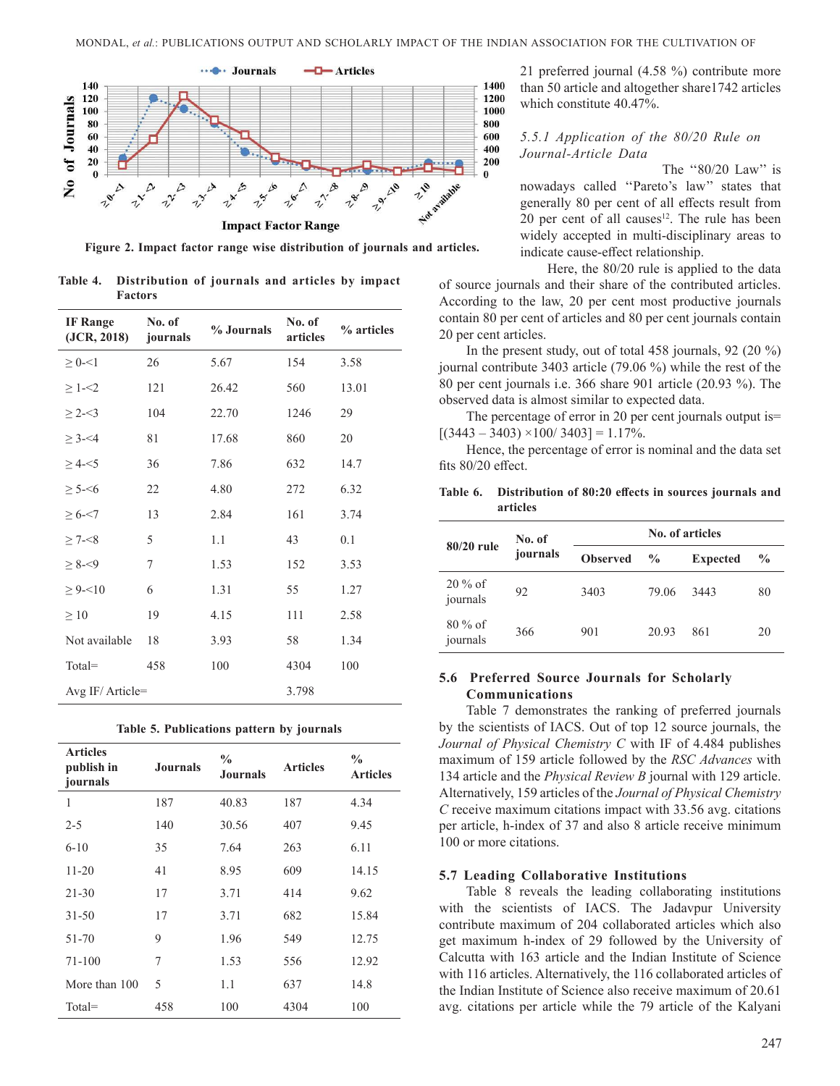

**figure 2. Impact factor range wise distribution of journals and articles.**

Table 4. Distribution of journals and articles by impact **factors**

| <b>IF</b> Range<br>(JCR, 2018) | No. of<br>journals | % Journals | No. of<br>articles | % articles |
|--------------------------------|--------------------|------------|--------------------|------------|
| $\geq 0 - 1$                   | 26                 | 5.67       | 154                | 3.58       |
| $\geq 1 - 2$                   | 121                | 26.42      | 560                | 13.01      |
| $\geq$ 2- $\leq$ 3             | 104                | 22.70      | 1246               | 29         |
| $\geq 3 - 4$                   | 81                 | 17.68      | 860                | 20         |
| $\geq 4 - 5$                   | 36                 | 7.86       | 632                | 14.7       |
| $\geq 5 - 56$                  | 22                 | 4.80       | 272                | 6.32       |
| $\geq 6 - 7$                   | 13                 | 2.84       | 161                | 3.74       |
| $\geq 7 - 8$                   | 5                  | 1.1        | 43                 | 0.1        |
| $\geq 8 - 9$                   | 7                  | 1.53       | 152                | 3.53       |
| $\geq 9 - 10$                  | 6                  | 1.31       | 55                 | 1.27       |
| $\geq 10$                      | 19                 | 4.15       | 111                | 2.58       |
| Not available                  | 18                 | 3.93       | 58                 | 1.34       |
| Total=                         | 458                | 100        | 4304               | 100        |
| Avg IF/Article=                |                    |            | 3.798              |            |

|  |  |  |  |  | Table 5. Publications pattern by journals |
|--|--|--|--|--|-------------------------------------------|
|--|--|--|--|--|-------------------------------------------|

| <b>Articles</b><br>publish in<br>journals | <b>Journals</b> | $\frac{0}{0}$<br><b>Journals</b> | <b>Articles</b> | $\frac{0}{0}$<br><b>Articles</b> |
|-------------------------------------------|-----------------|----------------------------------|-----------------|----------------------------------|
| 1                                         | 187             | 40.83                            | 187             | 4.34                             |
| $2 - 5$                                   | 140             | 30.56                            | 407             | 9.45                             |
| $6 - 10$                                  | 35              | 7.64                             | 263             | 6.11                             |
| $11 - 20$                                 | 41              | 8.95                             | 609             | 14.15                            |
| $21 - 30$                                 | 17              | 3.71                             | 414             | 9.62                             |
| $31 - 50$                                 | 17              | 3.71                             | 682             | 15.84                            |
| 51-70                                     | 9               | 1.96                             | 549             | 12.75                            |
| 71-100                                    | 7               | 1.53                             | 556             | 12.92                            |
| More than 100                             | 5               | 1.1                              | 637             | 14.8                             |
| $Total =$                                 | 458             | 100                              | 4304            | 100                              |

21 preferred journal (4.58 %) contribute more than 50 article and altogether share1742 articles which constitute 40.47%.

### *5.5.1 Application of the 80/20 Rule on Journal-Article Data*

The "80/20 Law" is nowadays called ''Pareto's law'' states that generally 80 per cent of all effects result from 20 per cent of all causes<sup>12</sup>. The rule has been widely accepted in multi-disciplinary areas to indicate cause-effect relationship.

Here, the 80/20 rule is applied to the data of source journals and their share of the contributed articles. According to the law, 20 per cent most productive journals contain 80 per cent of articles and 80 per cent journals contain 20 per cent articles.

In the present study, out of total 458 journals, 92 (20 %) journal contribute 3403 article (79.06 %) while the rest of the 80 per cent journals i.e. 366 share 901 article (20.93 %). The observed data is almost similar to expected data.

The percentage of error in 20 per cent journals output is=  $[(3443 - 3403) \times 100 / 3403] = 1.17\%.$ 

Hence, the percentage of error is nominal and the data set fits 80/20 effect.

**Table 6. Distribution of 80:20 effects in sources journals and articles**

|                       | No. of   | No. of articles |               |                 |               |  |  |
|-----------------------|----------|-----------------|---------------|-----------------|---------------|--|--|
| $80/20$ rule          | journals | <b>Observed</b> | $\frac{0}{0}$ | <b>Expected</b> | $\frac{6}{9}$ |  |  |
| $20\%$ of<br>journals | 92       | 3403            | 79.06         | 3443            | 80            |  |  |
| $80\%$ of<br>journals | 366      | 901             | 20.93         | 861             | 20            |  |  |

## **5.6 Preferred Source journals for Scholarly Communications**

Table 7 demonstrates the ranking of preferred journals by the scientists of IACS. Out of top 12 source journals, the *Journal of Physical Chemistry C* with IF of 4.484 publishes maximum of 159 article followed by the *RSC Advances* with 134 article and the *Physical Review B* journal with 129 article. Alternatively, 159 articles of the *Journal of Physical Chemistry C* receive maximum citations impact with 33.56 avg. citations per article, h-index of 37 and also 8 article receive minimum 100 or more citations.

## **5.7 Leading Collaborative Institutions**

Table 8 reveals the leading collaborating institutions with the scientists of IACS. The Jadavpur University contribute maximum of 204 collaborated articles which also get maximum h-index of 29 followed by the University of Calcutta with 163 article and the Indian Institute of Science with 116 articles. Alternatively, the 116 collaborated articles of the Indian Institute of Science also receive maximum of 20.61 avg. citations per article while the 79 article of the Kalyani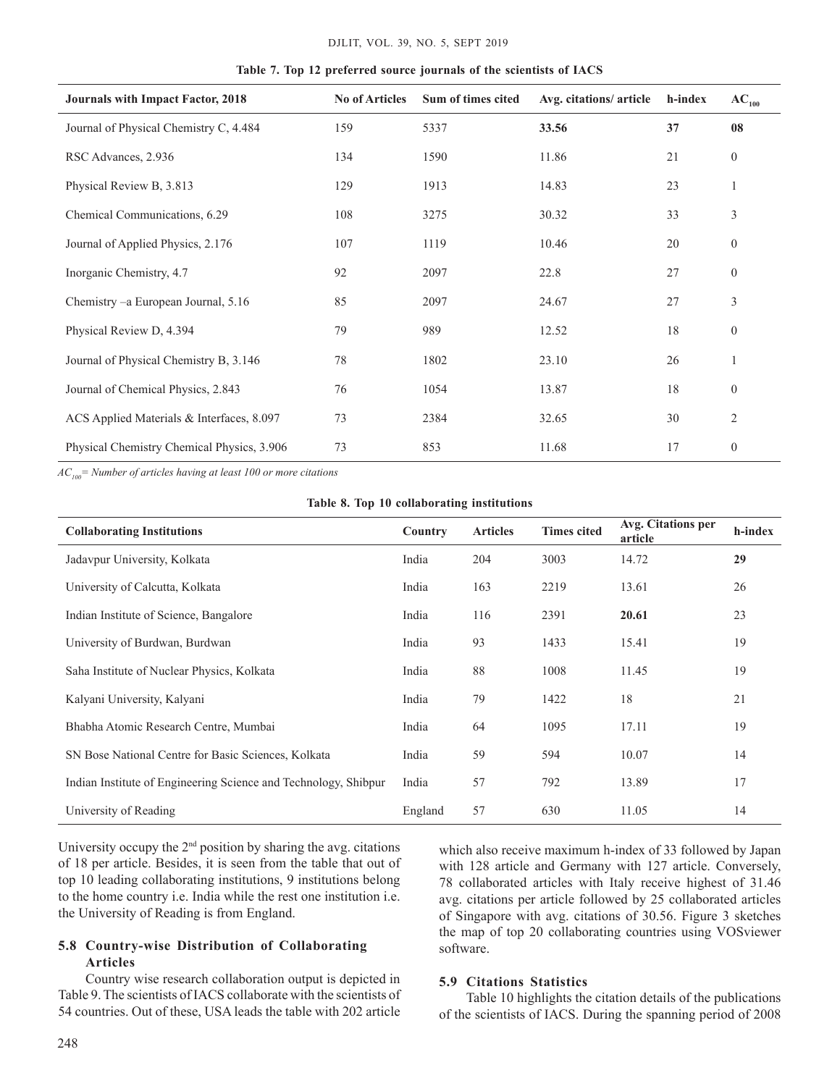| <b>Journals with Impact Factor, 2018</b>   | <b>No of Articles</b> | Sum of times cited | Avg. citations/ article | h-index | $AC_{100}$       |
|--------------------------------------------|-----------------------|--------------------|-------------------------|---------|------------------|
| Journal of Physical Chemistry C, 4.484     | 159                   | 5337               | 33.56                   | 37      | 08               |
| RSC Advances, 2.936                        | 134                   | 1590               | 11.86                   | 21      | $\boldsymbol{0}$ |
| Physical Review B, 3.813                   | 129                   | 1913               | 14.83                   | 23      | 1                |
| Chemical Communications, 6.29              | 108                   | 3275               | 30.32                   | 33      | 3                |
| Journal of Applied Physics, 2.176          | 107                   | 1119               | 10.46                   | 20      | $\boldsymbol{0}$ |
| Inorganic Chemistry, 4.7                   | 92                    | 2097               | 22.8                    | 27      | $\boldsymbol{0}$ |
| Chemistry – a European Journal, 5.16       | 85                    | 2097               | 24.67                   | 27      | 3                |
| Physical Review D, 4.394                   | 79                    | 989                | 12.52                   | 18      | $\theta$         |
| Journal of Physical Chemistry B, 3.146     | 78                    | 1802               | 23.10                   | 26      | 1                |
| Journal of Chemical Physics, 2.843         | 76                    | 1054               | 13.87                   | 18      | $\theta$         |
| ACS Applied Materials & Interfaces, 8.097  | 73                    | 2384               | 32.65                   | 30      | 2                |
| Physical Chemistry Chemical Physics, 3.906 | 73                    | 853                | 11.68                   | 17      | $\boldsymbol{0}$ |

**table 7. top 12 preferred source journals of the scientists of IACS**

*AC100= Number of articles having at least 100 or more citations*

|  |  |  |  | Table 8. Top 10 collaborating institutions |  |
|--|--|--|--|--------------------------------------------|--|
|--|--|--|--|--------------------------------------------|--|

| <b>Collaborating Institutions</b>                               | Country | <b>Articles</b> | <b>Times cited</b> | Avg. Citations per<br>article | h-index |
|-----------------------------------------------------------------|---------|-----------------|--------------------|-------------------------------|---------|
| Jadavpur University, Kolkata                                    | India   | 204             | 3003               | 14.72                         | 29      |
| University of Calcutta, Kolkata                                 | India   | 163             | 2219               | 13.61                         | 26      |
| Indian Institute of Science, Bangalore                          | India   | 116             | 2391               | 20.61                         | 23      |
| University of Burdwan, Burdwan                                  | India   | 93              | 1433               | 15.41                         | 19      |
| Saha Institute of Nuclear Physics, Kolkata                      | India   | 88              | 1008               | 11.45                         | 19      |
| Kalyani University, Kalyani                                     | India   | 79              | 1422               | 18                            | 21      |
| Bhabha Atomic Research Centre, Mumbai                           | India   | 64              | 1095               | 17.11                         | 19      |
| SN Bose National Centre for Basic Sciences, Kolkata             | India   | 59              | 594                | 10.07                         | 14      |
| Indian Institute of Engineering Science and Technology, Shibpur | India   | 57              | 792                | 13.89                         | 17      |
| University of Reading                                           | England | 57              | 630                | 11.05                         | 14      |

University occupy the 2nd position by sharing the avg. citations of 18 per article. Besides, it is seen from the table that out of top 10 leading collaborating institutions, 9 institutions belong to the home country i.e. India while the rest one institution i.e. the University of Reading is from England.

## **5.8 Country-wise Distribution of Collaborating Articles**

Country wise research collaboration output is depicted in Table 9. The scientists of IACS collaborate with the scientists of 54 countries. Out of these, USA leads the table with 202 article

which also receive maximum h-index of 33 followed by Japan with 128 article and Germany with 127 article. Conversely, 78 collaborated articles with Italy receive highest of 31.46 avg. citations per article followed by 25 collaborated articles of Singapore with avg. citations of 30.56. Figure 3 sketches the map of top 20 collaborating countries using VOSviewer software.

### **5.9 Citations Statistics**

Table 10 highlights the citation details of the publications of the scientists of IACS. During the spanning period of 2008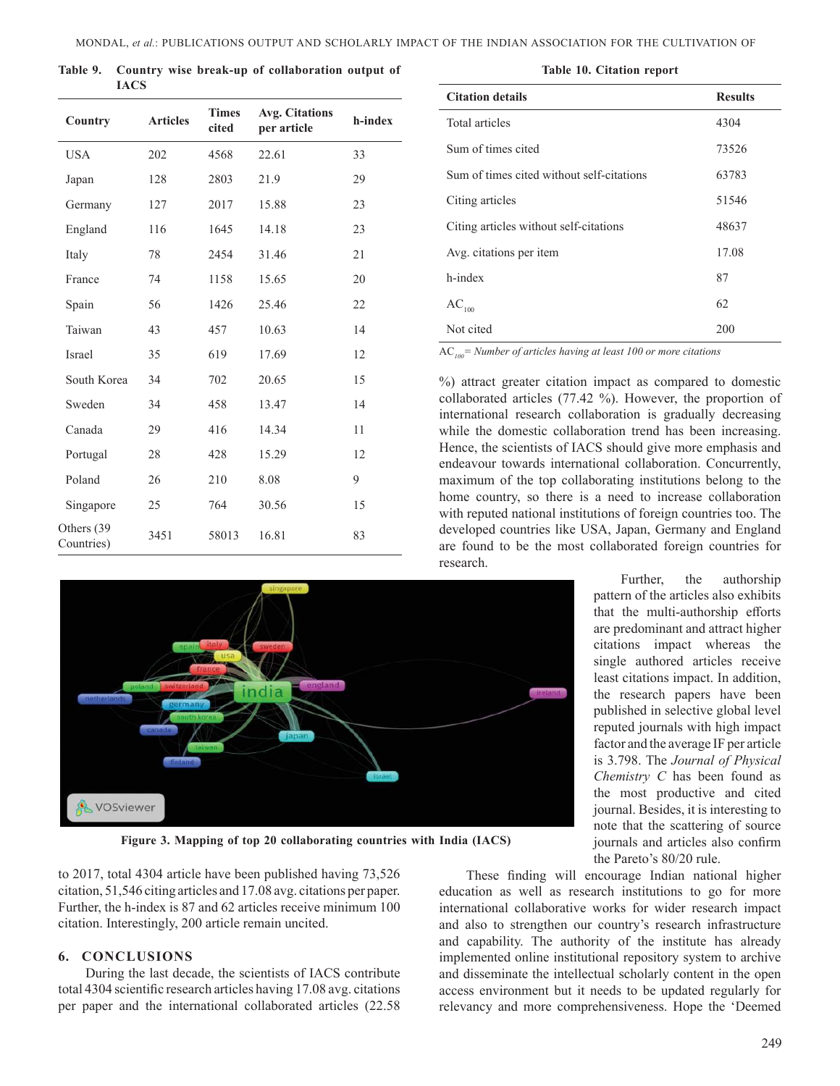**table 9. Country wise break-up of collaboration output of IACS**

| Country                   | <b>Articles</b> | <b>Times</b><br>cited | <b>Avg. Citations</b><br>per article | h-index |
|---------------------------|-----------------|-----------------------|--------------------------------------|---------|
| <b>USA</b>                | 202             | 4568                  | 22.61                                | 33      |
| Japan                     | 128             | 2803                  | 21.9                                 | 29      |
| Germany                   | 127             | 2017                  | 15.88                                | 23      |
| England                   | 116             | 1645                  | 14.18                                | 23      |
| Italy                     | 78              | 2454                  | 31.46                                | 21      |
| France                    | 74              | 1158                  | 15.65                                | 20      |
| Spain                     | 56              | 1426                  | 25.46                                | 22      |
| Taiwan                    | 43              | 457                   | 10.63                                | 14      |
| Israel                    | 35              | 619                   | 17.69                                | 12      |
| South Korea               | 34              | 702                   | 20.65                                | 15      |
| Sweden                    | 34              | 458                   | 13.47                                | 14      |
| Canada                    | 29              | 416                   | 14.34                                | 11      |
| Portugal                  | 28              | 428                   | 15.29                                | 12      |
| Poland                    | 26              | 210                   | 8.08                                 | 9       |
| Singapore                 | 25              | 764                   | 30.56                                | 15      |
| Others (39)<br>Countries) | 3451            | 58013                 | 16.81                                | 83      |



| <b>Citation details</b>                   | <b>Results</b> |
|-------------------------------------------|----------------|
| Total articles                            | 4304           |
| Sum of times cited                        | 73526          |
| Sum of times cited without self-citations | 63783          |
| Citing articles                           | 51546          |
| Citing articles without self-citations    | 48637          |
| Avg. citations per item                   | 17.08          |
| h-index                                   | 87             |
| $\mathrm{AC}_{100}$                       | 62             |
| Not cited                                 | 200            |

AC*100= Number of articles having at least 100 or more citations*

%) attract greater citation impact as compared to domestic collaborated articles (77.42 %). However, the proportion of international research collaboration is gradually decreasing while the domestic collaboration trend has been increasing. Hence, the scientists of IACS should give more emphasis and endeavour towards international collaboration. Concurrently, maximum of the top collaborating institutions belong to the home country, so there is a need to increase collaboration with reputed national institutions of foreign countries too. The developed countries like USA, Japan, Germany and England are found to be the most collaborated foreign countries for research.



**figure 3. mapping of top 20 collaborating countries with India (IACS)**

to 2017, total 4304 article have been published having 73,526 citation, 51,546 citing articles and 17.08 avg. citations per paper. Further, the h-index is 87 and 62 articles receive minimum 100 citation. Interestingly, 200 article remain uncited.

#### **6. COnCLuSIOnS**

During the last decade, the scientists of IACS contribute total 4304 scientific research articles having 17.08 avg. citations per paper and the international collaborated articles (22.58

These finding will encourage Indian national higher education as well as research institutions to go for more international collaborative works for wider research impact and also to strengthen our country's research infrastructure and capability. The authority of the institute has already implemented online institutional repository system to archive and disseminate the intellectual scholarly content in the open access environment but it needs to be updated regularly for relevancy and more comprehensiveness. Hope the 'Deemed

pattern of the articles also exhibits that the multi-authorship efforts are predominant and attract higher citations impact whereas the single authored articles receive least citations impact. In addition, the research papers have been published in selective global level reputed journals with high impact factor and the average IF per article is 3.798. The *Journal of Physical Chemistry C* has been found as the most productive and cited journal. Besides, it is interesting to note that the scattering of source journals and articles also confirm the Pareto's 80/20 rule.

Further, the authorship